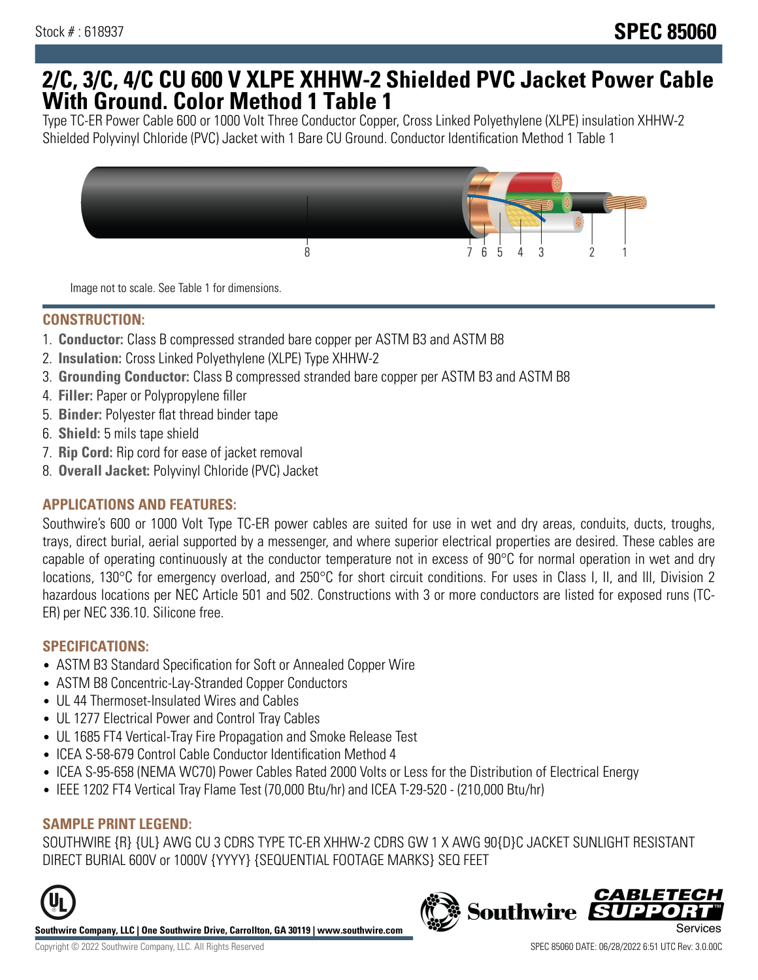## **2/C, 3/C, 4/C CU 600 V XLPE XHHW-2 Shielded PVC Jacket Power Cable With Ground. Color Method 1 Table 1**

Type TC-ER Power Cable 600 or 1000 Volt Three Conductor Copper, Cross Linked Polyethylene (XLPE) insulation XHHW-2 Shielded Polyvinyl Chloride (PVC) Jacket with 1 Bare CU Ground. Conductor Identification Method 1 Table 1



Image not to scale. See Table 1 for dimensions.

## **CONSTRUCTION:**

- 1. **Conductor:** Class B compressed stranded bare copper per ASTM B3 and ASTM B8
- 2. **Insulation:** Cross Linked Polyethylene (XLPE) Type XHHW-2
- 3. **Grounding Conductor:** Class B compressed stranded bare copper per ASTM B3 and ASTM B8
- 4. **Filler:** Paper or Polypropylene filler
- 5. **Binder:** Polyester flat thread binder tape
- 6. **Shield:** 5 mils tape shield
- 7. **Rip Cord:** Rip cord for ease of jacket removal
- 8. **Overall Jacket:** Polyvinyl Chloride (PVC) Jacket

## **APPLICATIONS AND FEATURES:**

Southwire's 600 or 1000 Volt Type TC-ER power cables are suited for use in wet and dry areas, conduits, ducts, troughs, trays, direct burial, aerial supported by a messenger, and where superior electrical properties are desired. These cables are capable of operating continuously at the conductor temperature not in excess of 90°C for normal operation in wet and dry locations, 130°C for emergency overload, and 250°C for short circuit conditions. For uses in Class I, II, and III, Division 2 hazardous locations per NEC Article 501 and 502. Constructions with 3 or more conductors are listed for exposed runs (TC-ER) per NEC 336.10. Silicone free.

#### **SPECIFICATIONS:**

- ASTM B3 Standard Specification for Soft or Annealed Copper Wire
- ASTM B8 Concentric-Lay-Stranded Copper Conductors
- UL 44 Thermoset-Insulated Wires and Cables
- UL 1277 Electrical Power and Control Tray Cables
- UL 1685 FT4 Vertical-Tray Fire Propagation and Smoke Release Test
- ICEA S-58-679 Control Cable Conductor Identification Method 4
- ICEA S-95-658 (NEMA WC70) Power Cables Rated 2000 Volts or Less for the Distribution of Electrical Energy
- IEEE 1202 FT4 Vertical Tray Flame Test (70,000 Btu/hr) and ICEA T-29-520 (210,000 Btu/hr)

#### **SAMPLE PRINT LEGEND:**

SOUTHWIRE {R} {UL} AWG CU 3 CDRS TYPE TC-ER XHHW-2 CDRS GW 1 X AWG 90{D}C JACKET SUNLIGHT RESISTANT DIRECT BURIAL 600V or 1000V {YYYY} {SEQUENTIAL FOOTAGE MARKS} SEQ FEET



**Southwire Company, LLC | One Southwire Drive, Carrollton, GA 30119 | www.southwire.com**